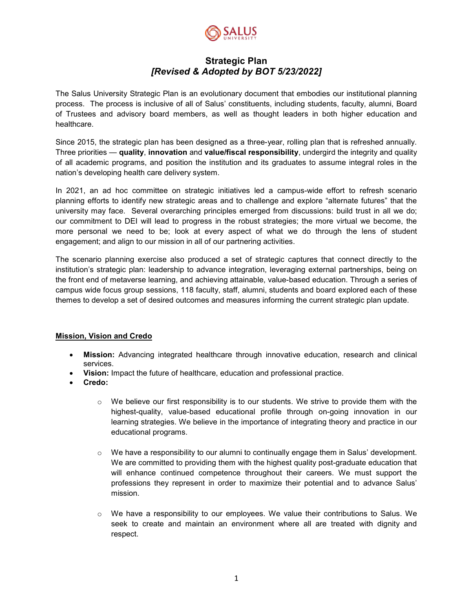

# **Strategic Plan** *[Revised & Adopted by BOT 5/23/2022]*

The Salus University Strategic Plan is an evolutionary document that embodies our institutional planning process. The process is inclusive of all of Salus' constituents, including students, faculty, alumni, Board of Trustees and advisory board members, as well as thought leaders in both higher education and healthcare.

Since 2015, the strategic plan has been designed as a three-year, rolling plan that is refreshed annually. Three priorities — **quality**, **innovation** and **value/fiscal responsibility**, undergird the integrity and quality of all academic programs, and position the institution and its graduates to assume integral roles in the nation's developing health care delivery system.

In 2021, an ad hoc committee on strategic initiatives led a campus-wide effort to refresh scenario planning efforts to identify new strategic areas and to challenge and explore "alternate futures" that the university may face. Several overarching principles emerged from discussions: build trust in all we do; our commitment to DEI will lead to progress in the robust strategies; the more virtual we become, the more personal we need to be; look at every aspect of what we do through the lens of student engagement; and align to our mission in all of our partnering activities.

The scenario planning exercise also produced a set of strategic captures that connect directly to the institution's strategic plan: leadership to advance integration, leveraging external partnerships, being on the front end of metaverse learning, and achieving attainable, value-based education. Through a series of campus wide focus group sessions, 118 faculty, staff, alumni, students and board explored each of these themes to develop a set of desired outcomes and measures informing the current strategic plan update.

# **Mission, Vision and Credo**

- **Mission:** Advancing integrated healthcare through innovative education, research and clinical services.
- **Vision:** Impact the future of healthcare, education and professional practice.
- **Credo:**
	- $\circ$  We believe our first responsibility is to our students. We strive to provide them with the highest-quality, value-based educational profile through on-going innovation in our learning strategies. We believe in the importance of integrating theory and practice in our educational programs.
	- $\circ$  We have a responsibility to our alumni to continually engage them in Salus' development. We are committed to providing them with the highest quality post-graduate education that will enhance continued competence throughout their careers. We must support the professions they represent in order to maximize their potential and to advance Salus' mission.
	- o We have a responsibility to our employees. We value their contributions to Salus. We seek to create and maintain an environment where all are treated with dignity and respect.